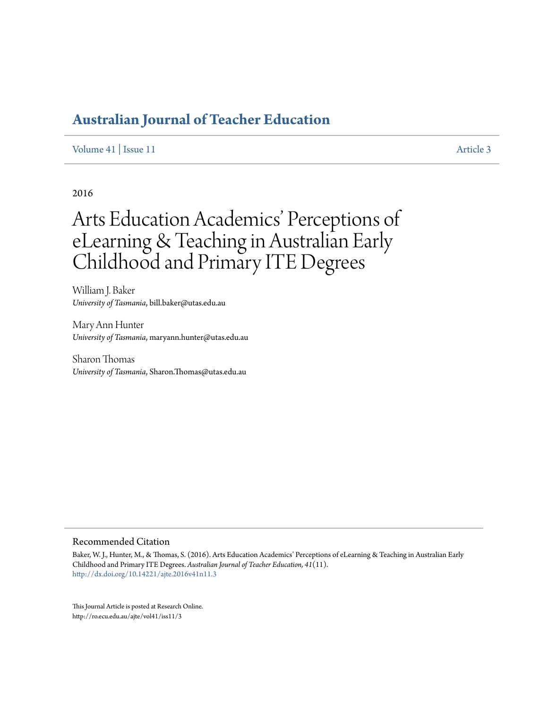# **[Australian Journal of Teacher Education](http://ro.ecu.edu.au/ajte)**

[Volume 41](http://ro.ecu.edu.au/ajte/vol41) | [Issue 11](http://ro.ecu.edu.au/ajte/vol41/iss11) [Article 3](http://ro.ecu.edu.au/ajte/vol41/iss11/3)

2016

# Arts Education Academics' Perceptions of eLearning & Teaching in Australian Early Childhood and Primary ITE Degrees

William J. Baker *University of Tasmania*, bill.baker@utas.edu.au

Mary Ann Hunter *University of Tasmania*, maryann.hunter@utas.edu.au

Sharon Thomas *University of Tasmania*, Sharon.Thomas@utas.edu.au

#### Recommended Citation

Baker, W. J., Hunter, M., & Thomas, S. (2016). Arts Education Academics' Perceptions of eLearning & Teaching in Australian Early Childhood and Primary ITE Degrees. *Australian Journal of Teacher Education, 41*(11). <http://dx.doi.org/10.14221/ajte.2016v41n11.3>

This Journal Article is posted at Research Online. http://ro.ecu.edu.au/ajte/vol41/iss11/3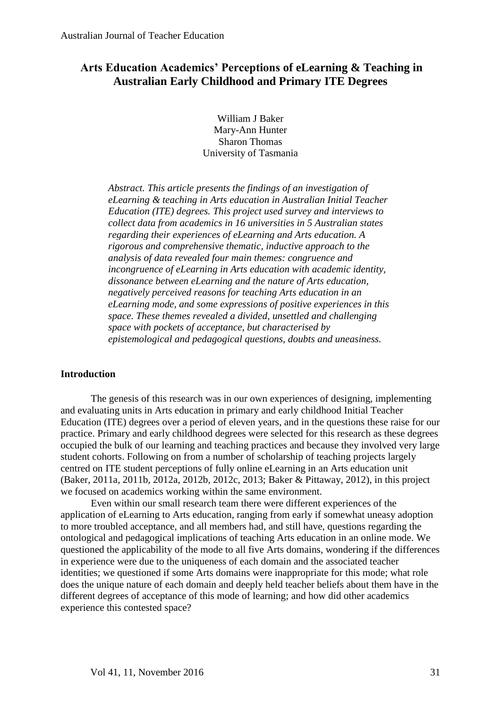# **Arts Education Academics' Perceptions of eLearning & Teaching in Australian Early Childhood and Primary ITE Degrees**

William J Baker Mary-Ann Hunter Sharon Thomas University of Tasmania

*Abstract. This article presents the findings of an investigation of eLearning & teaching in Arts education in Australian Initial Teacher Education (ITE) degrees. This project used survey and interviews to collect data from academics in 16 universities in 5 Australian states regarding their experiences of eLearning and Arts education. A rigorous and comprehensive thematic, inductive approach to the analysis of data revealed four main themes: congruence and incongruence of eLearning in Arts education with academic identity, dissonance between eLearning and the nature of Arts education, negatively perceived reasons for teaching Arts education in an eLearning mode, and some expressions of positive experiences in this space. These themes revealed a divided, unsettled and challenging space with pockets of acceptance, but characterised by epistemological and pedagogical questions, doubts and uneasiness.*

#### **Introduction**

The genesis of this research was in our own experiences of designing, implementing and evaluating units in Arts education in primary and early childhood Initial Teacher Education (ITE) degrees over a period of eleven years, and in the questions these raise for our practice. Primary and early childhood degrees were selected for this research as these degrees occupied the bulk of our learning and teaching practices and because they involved very large student cohorts. Following on from a number of scholarship of teaching projects largely centred on ITE student perceptions of fully online eLearning in an Arts education unit (Baker, 2011a, 2011b, 2012a, 2012b, 2012c, 2013; Baker & Pittaway, 2012), in this project we focused on academics working within the same environment.

Even within our small research team there were different experiences of the application of eLearning to Arts education, ranging from early if somewhat uneasy adoption to more troubled acceptance, and all members had, and still have, questions regarding the ontological and pedagogical implications of teaching Arts education in an online mode. We questioned the applicability of the mode to all five Arts domains, wondering if the differences in experience were due to the uniqueness of each domain and the associated teacher identities; we questioned if some Arts domains were inappropriate for this mode; what role does the unique nature of each domain and deeply held teacher beliefs about them have in the different degrees of acceptance of this mode of learning; and how did other academics experience this contested space?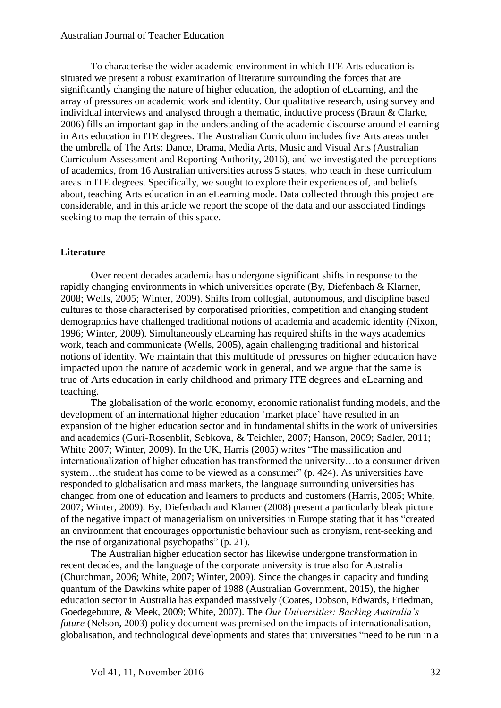To characterise the wider academic environment in which ITE Arts education is situated we present a robust examination of literature surrounding the forces that are significantly changing the nature of higher education, the adoption of eLearning, and the array of pressures on academic work and identity. Our qualitative research, using survey and individual interviews and analysed through a thematic, inductive process (Braun & Clarke, 2006) fills an important gap in the understanding of the academic discourse around eLearning in Arts education in ITE degrees. The Australian Curriculum includes five Arts areas under the umbrella of The Arts: Dance, Drama, Media Arts, Music and Visual Arts (Australian Curriculum Assessment and Reporting Authority, 2016), and we investigated the perceptions of academics, from 16 Australian universities across 5 states, who teach in these curriculum areas in ITE degrees. Specifically, we sought to explore their experiences of, and beliefs about, teaching Arts education in an eLearning mode. Data collected through this project are considerable, and in this article we report the scope of the data and our associated findings seeking to map the terrain of this space.

### **Literature**

Over recent decades academia has undergone significant shifts in response to the rapidly changing environments in which universities operate (By, Diefenbach & Klarner, 2008; Wells, 2005; Winter, 2009). Shifts from collegial, autonomous, and discipline based cultures to those characterised by corporatised priorities, competition and changing student demographics have challenged traditional notions of academia and academic identity (Nixon, 1996; Winter, 2009). Simultaneously eLearning has required shifts in the ways academics work, teach and communicate (Wells, 2005), again challenging traditional and historical notions of identity. We maintain that this multitude of pressures on higher education have impacted upon the nature of academic work in general, and we argue that the same is true of Arts education in early childhood and primary ITE degrees and eLearning and teaching.

The globalisation of the world economy, economic rationalist funding models, and the development of an international higher education 'market place' have resulted in an expansion of the higher education sector and in fundamental shifts in the work of universities and academics (Guri-Rosenblit, Sebkova, & Teichler, 2007; Hanson, 2009; Sadler, 2011; White 2007; Winter, 2009). In the UK, Harris (2005) writes "The massification and internationalization of higher education has transformed the university…to a consumer driven system...the student has come to be viewed as a consumer" (p. 424). As universities have responded to globalisation and mass markets, the language surrounding universities has changed from one of education and learners to products and customers (Harris, 2005; White, 2007; Winter, 2009). By, Diefenbach and Klarner (2008) present a particularly bleak picture of the negative impact of managerialism on universities in Europe stating that it has "created an environment that encourages opportunistic behaviour such as cronyism, rent-seeking and the rise of organizational psychopaths" (p. 21).

The Australian higher education sector has likewise undergone transformation in recent decades, and the language of the corporate university is true also for Australia (Churchman, 2006; White, 2007; Winter, 2009). Since the changes in capacity and funding quantum of the Dawkins white paper of 1988 (Australian Government, 2015), the higher education sector in Australia has expanded massively (Coates, Dobson, Edwards, Friedman, Goedegebuure, & Meek, 2009; White, 2007). The *Our Universities: Backing Australia's future* (Nelson, 2003) policy document was premised on the impacts of internationalisation, globalisation, and technological developments and states that universities "need to be run in a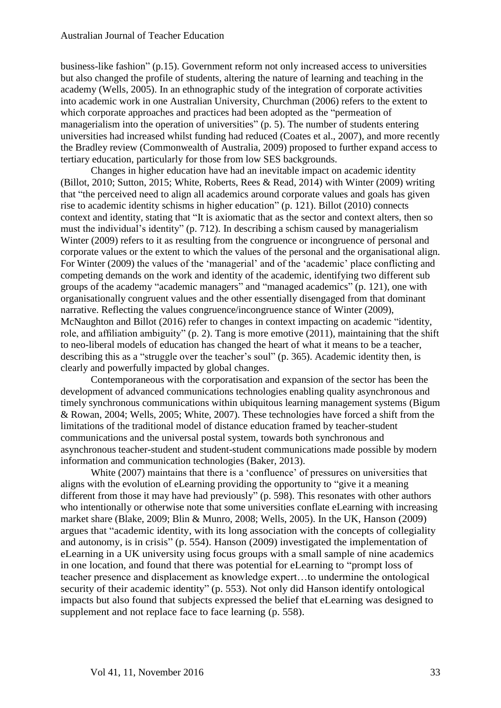business-like fashion" (p.15). Government reform not only increased access to universities but also changed the profile of students, altering the nature of learning and teaching in the academy (Wells, 2005). In an ethnographic study of the integration of corporate activities into academic work in one Australian University, Churchman (2006) refers to the extent to which corporate approaches and practices had been adopted as the "permeation of managerialism into the operation of universities" (p. 5). The number of students entering universities had increased whilst funding had reduced (Coates et al., 2007), and more recently the Bradley review (Commonwealth of Australia, 2009) proposed to further expand access to tertiary education, particularly for those from low SES backgrounds.

Changes in higher education have had an inevitable impact on academic identity (Billot, 2010; Sutton, 2015; White, Roberts, Rees & Read, 2014) with Winter (2009) writing that "the perceived need to align all academics around corporate values and goals has given rise to academic identity schisms in higher education" (p. 121). Billot (2010) connects context and identity, stating that "It is axiomatic that as the sector and context alters, then so must the individual's identity" (p. 712). In describing a schism caused by managerialism Winter (2009) refers to it as resulting from the congruence or incongruence of personal and corporate values or the extent to which the values of the personal and the organisational align. For Winter (2009) the values of the 'managerial' and of the 'academic' place conflicting and competing demands on the work and identity of the academic, identifying two different sub groups of the academy "academic managers" and "managed academics" (p. 121), one with organisationally congruent values and the other essentially disengaged from that dominant narrative. Reflecting the values congruence/incongruence stance of Winter (2009), McNaughton and Billot (2016) refer to changes in context impacting on academic "identity, role, and affiliation ambiguity" (p. 2). Tang is more emotive (2011), maintaining that the shift to neo-liberal models of education has changed the heart of what it means to be a teacher, describing this as a "struggle over the teacher's soul" (p. 365). Academic identity then, is clearly and powerfully impacted by global changes.

Contemporaneous with the corporatisation and expansion of the sector has been the development of advanced communications technologies enabling quality asynchronous and timely synchronous communications within ubiquitous learning management systems (Bigum & Rowan, 2004; Wells, 2005; White, 2007). These technologies have forced a shift from the limitations of the traditional model of distance education framed by teacher-student communications and the universal postal system, towards both synchronous and asynchronous teacher-student and student-student communications made possible by modern information and communication technologies (Baker, 2013).

White (2007) maintains that there is a 'confluence' of pressures on universities that aligns with the evolution of eLearning providing the opportunity to "give it a meaning different from those it may have had previously" (p. 598). This resonates with other authors who intentionally or otherwise note that some universities conflate eLearning with increasing market share (Blake, 2009; Blin & Munro, 2008; Wells, 2005). In the UK, Hanson (2009) argues that "academic identity, with its long association with the concepts of collegiality and autonomy, is in crisis" (p. 554). Hanson (2009) investigated the implementation of eLearning in a UK university using focus groups with a small sample of nine academics in one location, and found that there was potential for eLearning to "prompt loss of teacher presence and displacement as knowledge expert…to undermine the ontological security of their academic identity" (p. 553). Not only did Hanson identify ontological impacts but also found that subjects expressed the belief that eLearning was designed to supplement and not replace face to face learning (p. 558).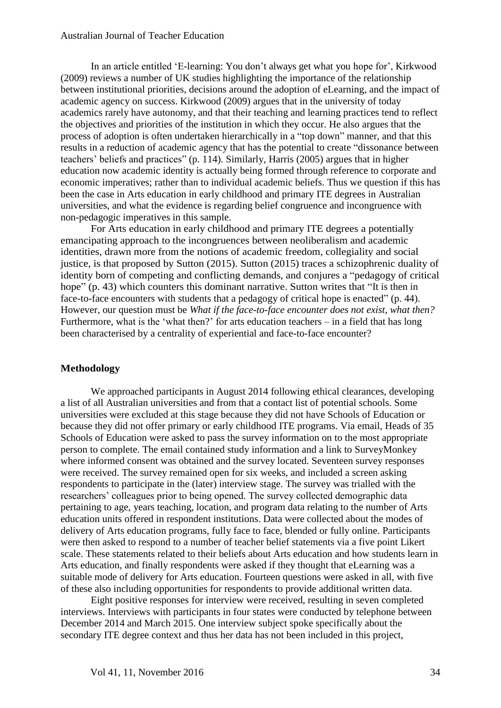#### Australian Journal of Teacher Education

In an article entitled 'E-learning: You don't always get what you hope for', Kirkwood (2009) reviews a number of UK studies highlighting the importance of the relationship between institutional priorities, decisions around the adoption of eLearning, and the impact of academic agency on success. Kirkwood (2009) argues that in the university of today academics rarely have autonomy, and that their teaching and learning practices tend to reflect the objectives and priorities of the institution in which they occur. He also argues that the process of adoption is often undertaken hierarchically in a "top down" manner, and that this results in a reduction of academic agency that has the potential to create "dissonance between teachers' beliefs and practices" (p. 114). Similarly, Harris (2005) argues that in higher education now academic identity is actually being formed through reference to corporate and economic imperatives; rather than to individual academic beliefs. Thus we question if this has been the case in Arts education in early childhood and primary ITE degrees in Australian universities, and what the evidence is regarding belief congruence and incongruence with non-pedagogic imperatives in this sample.

For Arts education in early childhood and primary ITE degrees a potentially emancipating approach to the incongruences between neoliberalism and academic identities, drawn more from the notions of academic freedom, collegiality and social justice, is that proposed by Sutton (2015). Sutton (2015) traces a schizophrenic duality of identity born of competing and conflicting demands, and conjures a "pedagogy of critical hope" (p. 43) which counters this dominant narrative. Sutton writes that "It is then in face-to-face encounters with students that a pedagogy of critical hope is enacted" (p. 44). However, our question must be *What if the face-to-face encounter does not exist, what then?* Furthermore, what is the 'what then?' for arts education teachers – in a field that has long been characterised by a centrality of experiential and face-to-face encounter?

#### **Methodology**

We approached participants in August 2014 following ethical clearances, developing a list of all Australian universities and from that a contact list of potential schools. Some universities were excluded at this stage because they did not have Schools of Education or because they did not offer primary or early childhood ITE programs. Via email, Heads of 35 Schools of Education were asked to pass the survey information on to the most appropriate person to complete. The email contained study information and a link to SurveyMonkey where informed consent was obtained and the survey located. Seventeen survey responses were received. The survey remained open for six weeks, and included a screen asking respondents to participate in the (later) interview stage. The survey was trialled with the researchers' colleagues prior to being opened. The survey collected demographic data pertaining to age, years teaching, location, and program data relating to the number of Arts education units offered in respondent institutions. Data were collected about the modes of delivery of Arts education programs, fully face to face, blended or fully online. Participants were then asked to respond to a number of teacher belief statements via a five point Likert scale. These statements related to their beliefs about Arts education and how students learn in Arts education, and finally respondents were asked if they thought that eLearning was a suitable mode of delivery for Arts education. Fourteen questions were asked in all, with five of these also including opportunities for respondents to provide additional written data.

Eight positive responses for interview were received, resulting in seven completed interviews. Interviews with participants in four states were conducted by telephone between December 2014 and March 2015. One interview subject spoke specifically about the secondary ITE degree context and thus her data has not been included in this project,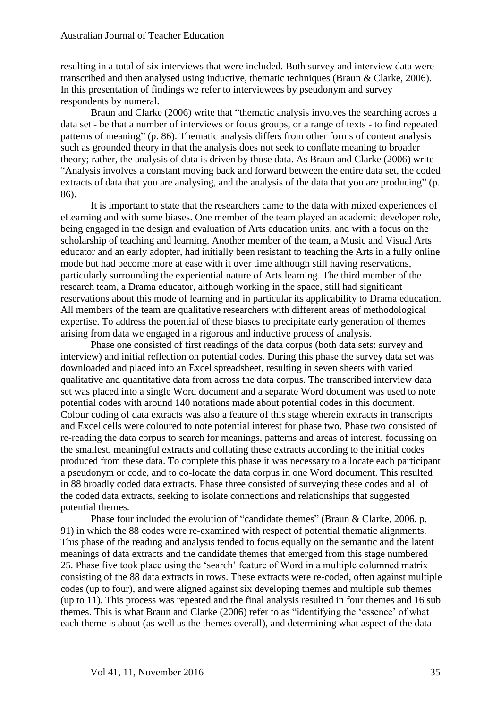resulting in a total of six interviews that were included. Both survey and interview data were transcribed and then analysed using inductive, thematic techniques (Braun & Clarke, 2006). In this presentation of findings we refer to interviewees by pseudonym and survey respondents by numeral.

Braun and Clarke (2006) write that "thematic analysis involves the searching across a data set - be that a number of interviews or focus groups, or a range of texts - to find repeated patterns of meaning" (p. 86). Thematic analysis differs from other forms of content analysis such as grounded theory in that the analysis does not seek to conflate meaning to broader theory; rather, the analysis of data is driven by those data. As Braun and Clarke (2006) write "Analysis involves a constant moving back and forward between the entire data set, the coded extracts of data that you are analysing, and the analysis of the data that you are producing" (p. 86).

It is important to state that the researchers came to the data with mixed experiences of eLearning and with some biases. One member of the team played an academic developer role, being engaged in the design and evaluation of Arts education units, and with a focus on the scholarship of teaching and learning. Another member of the team, a Music and Visual Arts educator and an early adopter, had initially been resistant to teaching the Arts in a fully online mode but had become more at ease with it over time although still having reservations, particularly surrounding the experiential nature of Arts learning. The third member of the research team, a Drama educator, although working in the space, still had significant reservations about this mode of learning and in particular its applicability to Drama education. All members of the team are qualitative researchers with different areas of methodological expertise. To address the potential of these biases to precipitate early generation of themes arising from data we engaged in a rigorous and inductive process of analysis.

Phase one consisted of first readings of the data corpus (both data sets: survey and interview) and initial reflection on potential codes. During this phase the survey data set was downloaded and placed into an Excel spreadsheet, resulting in seven sheets with varied qualitative and quantitative data from across the data corpus. The transcribed interview data set was placed into a single Word document and a separate Word document was used to note potential codes with around 140 notations made about potential codes in this document. Colour coding of data extracts was also a feature of this stage wherein extracts in transcripts and Excel cells were coloured to note potential interest for phase two. Phase two consisted of re-reading the data corpus to search for meanings, patterns and areas of interest, focussing on the smallest, meaningful extracts and collating these extracts according to the initial codes produced from these data. To complete this phase it was necessary to allocate each participant a pseudonym or code, and to co-locate the data corpus in one Word document. This resulted in 88 broadly coded data extracts. Phase three consisted of surveying these codes and all of the coded data extracts, seeking to isolate connections and relationships that suggested potential themes.

Phase four included the evolution of "candidate themes" (Braun & Clarke, 2006, p. 91) in which the 88 codes were re-examined with respect of potential thematic alignments. This phase of the reading and analysis tended to focus equally on the semantic and the latent meanings of data extracts and the candidate themes that emerged from this stage numbered 25. Phase five took place using the 'search' feature of Word in a multiple columned matrix consisting of the 88 data extracts in rows. These extracts were re-coded, often against multiple codes (up to four), and were aligned against six developing themes and multiple sub themes (up to 11). This process was repeated and the final analysis resulted in four themes and 16 sub themes. This is what Braun and Clarke (2006) refer to as "identifying the 'essence' of what each theme is about (as well as the themes overall), and determining what aspect of the data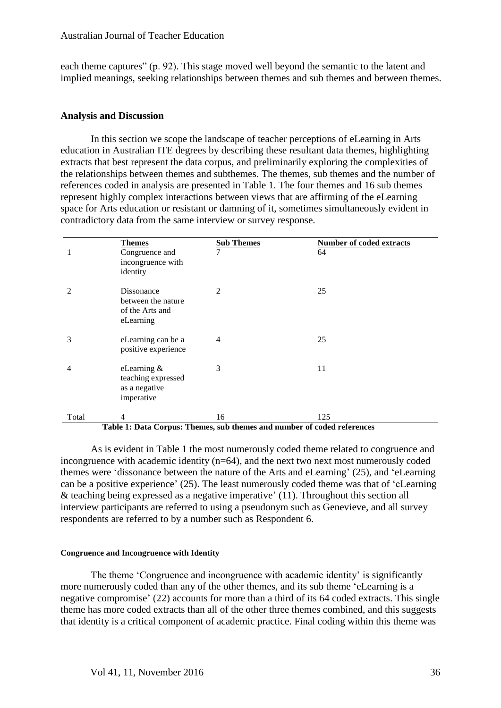each theme captures" (p. 92). This stage moved well beyond the semantic to the latent and implied meanings, seeking relationships between themes and sub themes and between themes.

#### **Analysis and Discussion**

In this section we scope the landscape of teacher perceptions of eLearning in Arts education in Australian ITE degrees by describing these resultant data themes, highlighting extracts that best represent the data corpus, and preliminarily exploring the complexities of the relationships between themes and subthemes. The themes, sub themes and the number of references coded in analysis are presented in Table 1. The four themes and 16 sub themes represent highly complex interactions between views that are affirming of the eLearning space for Arts education or resistant or damning of it, sometimes simultaneously evident in contradictory data from the same interview or survey response.

|                | <b>Themes</b><br>Congruence and<br>incongruence with<br>identity    | <b>Sub Themes</b><br>7 | <b>Number of coded extracts</b><br>64 |
|----------------|---------------------------------------------------------------------|------------------------|---------------------------------------|
| 2              | Dissonance<br>between the nature<br>of the Arts and<br>eLearning    | $\overline{2}$         | 25                                    |
| 3              | eLearning can be a<br>positive experience                           | 4                      | 25                                    |
| $\overline{4}$ | eLearning $\&$<br>teaching expressed<br>as a negative<br>imperative | 3                      | 11                                    |
| Total          | 4                                                                   | 16                     | 125                                   |

#### **Table 1: Data Corpus: Themes, sub themes and number of coded references**

As is evident in Table 1 the most numerously coded theme related to congruence and incongruence with academic identity (n=64), and the next two next most numerously coded themes were 'dissonance between the nature of the Arts and eLearning' (25), and 'eLearning can be a positive experience' (25). The least numerously coded theme was that of 'eLearning & teaching being expressed as a negative imperative' (11). Throughout this section all interview participants are referred to using a pseudonym such as Genevieve, and all survey respondents are referred to by a number such as Respondent 6.

#### **Congruence and Incongruence with Identity**

The theme 'Congruence and incongruence with academic identity' is significantly more numerously coded than any of the other themes, and its sub theme 'eLearning is a negative compromise' (22) accounts for more than a third of its 64 coded extracts. This single theme has more coded extracts than all of the other three themes combined, and this suggests that identity is a critical component of academic practice. Final coding within this theme was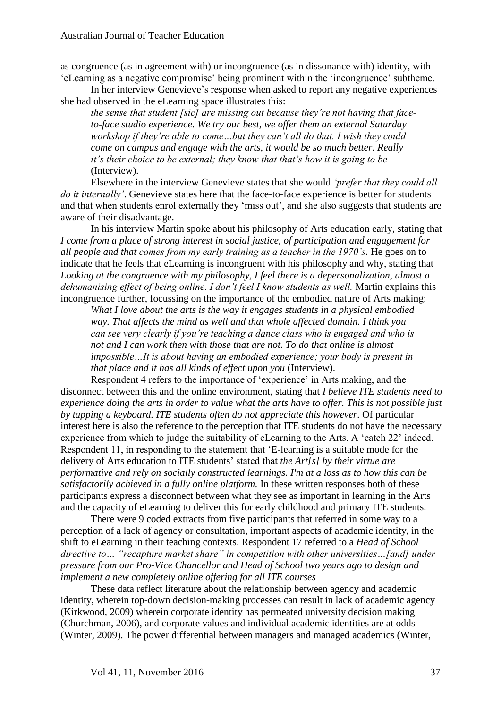as congruence (as in agreement with) or incongruence (as in dissonance with) identity, with 'eLearning as a negative compromise' being prominent within the 'incongruence' subtheme.

In her interview Genevieve's response when asked to report any negative experiences she had observed in the eLearning space illustrates this:

*the sense that student [sic] are missing out because they're not having that faceto-face studio experience. We try our best, we offer them an external Saturday workshop if they're able to come…but they can't all do that. I wish they could come on campus and engage with the arts, it would be so much better. Really it's their choice to be external; they know that that's how it is going to be* (Interview).

Elsewhere in the interview Genevieve states that she would *'prefer that they could all do it internally'*. Genevieve states here that the face-to-face experience is better for students and that when students enrol externally they 'miss out', and she also suggests that students are aware of their disadvantage.

In his interview Martin spoke about his philosophy of Arts education early, stating that *I come from a place of strong interest in social justice, of participation and engagement for all people and that comes from my early training as a teacher in the 1970's.* He goes on to indicate that he feels that eLearning is incongruent with his philosophy and why, stating that *Looking at the congruence with my philosophy, I feel there is a depersonalization, almost a dehumanising effect of being online. I don't feel I know students as well.* Martin explains this incongruence further, focussing on the importance of the embodied nature of Arts making:

*What I love about the arts is the way it engages students in a physical embodied way. That affects the mind as well and that whole affected domain. I think you can see very clearly if you're teaching a dance class who is engaged and who is not and I can work then with those that are not. To do that online is almost impossible…It is about having an embodied experience; your body is present in that place and it has all kinds of effect upon you* (Interview).

Respondent 4 refers to the importance of 'experience' in Arts making, and the disconnect between this and the online environment, stating that *I believe ITE students need to experience doing the arts in order to value what the arts have to offer. This is not possible just by tapping a keyboard. ITE students often do not appreciate this however*. Of particular interest here is also the reference to the perception that ITE students do not have the necessary experience from which to judge the suitability of eLearning to the Arts. A 'catch 22' indeed. Respondent 11, in responding to the statement that 'E-learning is a suitable mode for the delivery of Arts education to ITE students' stated that *the Art[s] by their virtue are performative and rely on socially constructed learnings. I'm at a loss as to how this can be satisfactorily achieved in a fully online platform.* In these written responses both of these participants express a disconnect between what they see as important in learning in the Arts and the capacity of eLearning to deliver this for early childhood and primary ITE students.

There were 9 coded extracts from five participants that referred in some way to a perception of a lack of agency or consultation, important aspects of academic identity, in the shift to eLearning in their teaching contexts. Respondent 17 referred to a *Head of School directive to… "recapture market share" in competition with other universities…[and] under pressure from our Pro-Vice Chancellor and Head of School two years ago to design and implement a new completely online offering for all ITE courses*

These data reflect literature about the relationship between agency and academic identity, wherein top-down decision-making processes can result in lack of academic agency (Kirkwood, 2009) wherein corporate identity has permeated university decision making (Churchman, 2006), and corporate values and individual academic identities are at odds (Winter, 2009). The power differential between managers and managed academics (Winter,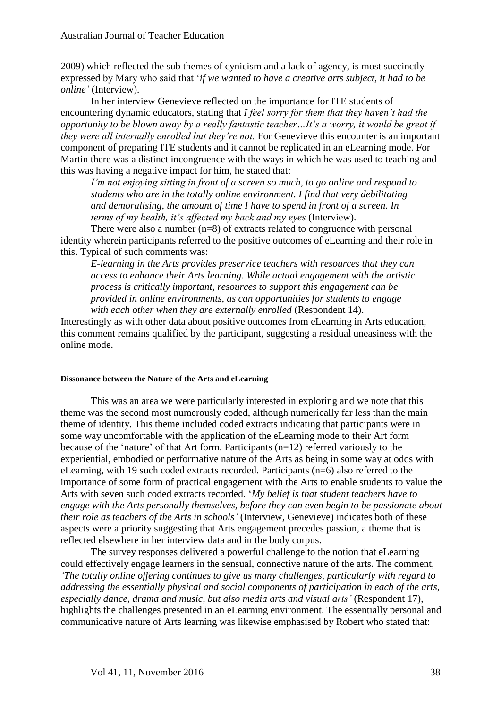2009) which reflected the sub themes of cynicism and a lack of agency, is most succinctly expressed by Mary who said that '*if we wanted to have a creative arts subject, it had to be online'* (Interview).

In her interview Genevieve reflected on the importance for ITE students of encountering dynamic educators, stating that *I feel sorry for them that they haven't had the opportunity to be blown away by a really fantastic teacher…It's a worry, it would be great if they were all internally enrolled but they're not.* For Genevieve this encounter is an important component of preparing ITE students and it cannot be replicated in an eLearning mode. For Martin there was a distinct incongruence with the ways in which he was used to teaching and this was having a negative impact for him, he stated that:

*I'm not enjoying sitting in front of a screen so much, to go online and respond to students who are in the totally online environment. I find that very debilitating and demoralising, the amount of time I have to spend in front of a screen. In terms of my health, it's affected my back and my eyes* (Interview).

There were also a number (n=8) of extracts related to congruence with personal identity wherein participants referred to the positive outcomes of eLearning and their role in this. Typical of such comments was:

*E-learning in the Arts provides preservice teachers with resources that they can access to enhance their Arts learning. While actual engagement with the artistic process is critically important, resources to support this engagement can be provided in online environments, as can opportunities for students to engage with each other when they are externally enrolled* (Respondent 14).

Interestingly as with other data about positive outcomes from eLearning in Arts education, this comment remains qualified by the participant, suggesting a residual uneasiness with the online mode.

#### **Dissonance between the Nature of the Arts and eLearning**

This was an area we were particularly interested in exploring and we note that this theme was the second most numerously coded, although numerically far less than the main theme of identity. This theme included coded extracts indicating that participants were in some way uncomfortable with the application of the eLearning mode to their Art form because of the 'nature' of that Art form. Participants (n=12) referred variously to the experiential, embodied or performative nature of the Arts as being in some way at odds with eLearning, with 19 such coded extracts recorded. Participants (n=6) also referred to the importance of some form of practical engagement with the Arts to enable students to value the Arts with seven such coded extracts recorded. '*My belief is that student teachers have to engage with the Arts personally themselves, before they can even begin to be passionate about their role as teachers of the Arts in schools'* (Interview, Genevieve) indicates both of these aspects were a priority suggesting that Arts engagement precedes passion, a theme that is reflected elsewhere in her interview data and in the body corpus.

The survey responses delivered a powerful challenge to the notion that eLearning could effectively engage learners in the sensual, connective nature of the arts. The comment, *'The totally online offering continues to give us many challenges, particularly with regard to addressing the essentially physical and social components of participation in each of the arts, especially dance, drama and music, but also media arts and visual arts'* (Respondent 17), highlights the challenges presented in an eLearning environment. The essentially personal and communicative nature of Arts learning was likewise emphasised by Robert who stated that: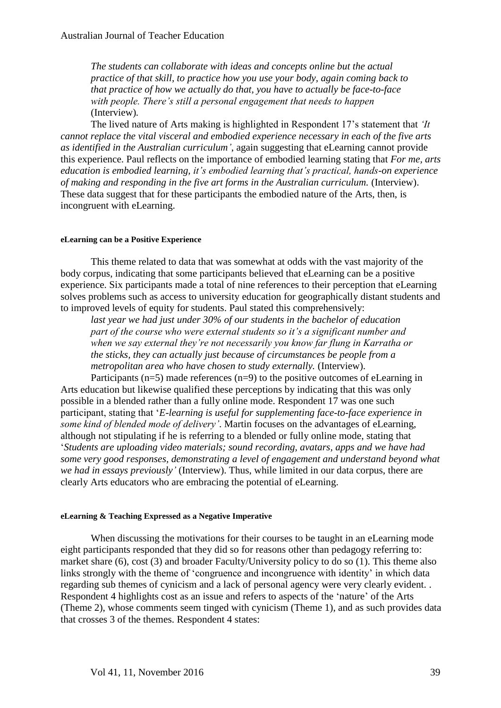*The students can collaborate with ideas and concepts online but the actual practice of that skill, to practice how you use your body, again coming back to that practice of how we actually do that, you have to actually be face-to-face with people. There's still a personal engagement that needs to happen* (Interview)*.*

The lived nature of Arts making is highlighted in Respondent 17's statement that *'It cannot replace the vital visceral and embodied experience necessary in each of the five arts as identified in the Australian curriculum'*, again suggesting that eLearning cannot provide this experience. Paul reflects on the importance of embodied learning stating that *For me, arts education is embodied learning, it's embodied learning that's practical, hands-on experience of making and responding in the five art forms in the Australian curriculum.* (Interview). These data suggest that for these participants the embodied nature of the Arts, then, is incongruent with eLearning.

#### **eLearning can be a Positive Experience**

This theme related to data that was somewhat at odds with the vast majority of the body corpus, indicating that some participants believed that eLearning can be a positive experience. Six participants made a total of nine references to their perception that eLearning solves problems such as access to university education for geographically distant students and to improved levels of equity for students. Paul stated this comprehensively:

*last year we had just under 30% of our students in the bachelor of education part of the course who were external students so it's a significant number and when we say external they're not necessarily you know far flung in Karratha or the sticks, they can actually just because of circumstances be people from a metropolitan area who have chosen to study externally.* (Interview).

Participants ( $n=5$ ) made references ( $n=9$ ) to the positive outcomes of eLearning in Arts education but likewise qualified these perceptions by indicating that this was only possible in a blended rather than a fully online mode. Respondent 17 was one such participant, stating that '*E-learning is useful for supplementing face-to-face experience in some kind of blended mode of delivery'*. Martin focuses on the advantages of eLearning, although not stipulating if he is referring to a blended or fully online mode, stating that '*Students are uploading video materials; sound recording, avatars, apps and we have had some very good responses, demonstrating a level of engagement and understand beyond what we had in essays previously'* (Interview). Thus, while limited in our data corpus, there are clearly Arts educators who are embracing the potential of eLearning.

#### **eLearning & Teaching Expressed as a Negative Imperative**

When discussing the motivations for their courses to be taught in an eLearning mode eight participants responded that they did so for reasons other than pedagogy referring to: market share (6), cost (3) and broader Faculty/University policy to do so (1). This theme also links strongly with the theme of 'congruence and incongruence with identity' in which data regarding sub themes of cynicism and a lack of personal agency were very clearly evident. . Respondent 4 highlights cost as an issue and refers to aspects of the 'nature' of the Arts (Theme 2), whose comments seem tinged with cynicism (Theme 1), and as such provides data that crosses 3 of the themes. Respondent 4 states: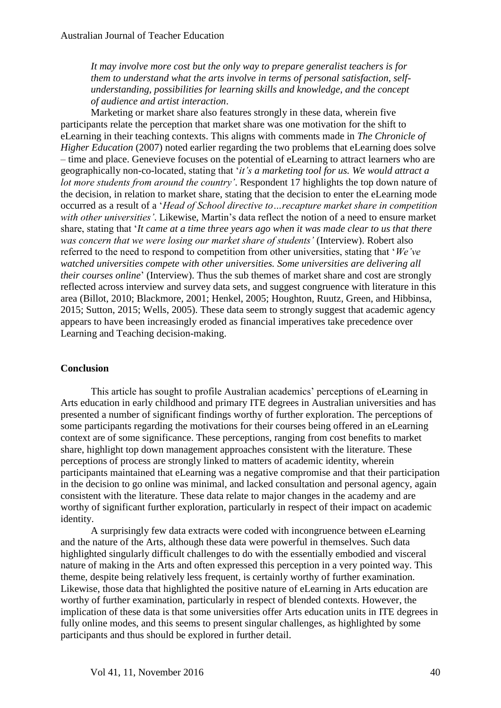*It may involve more cost but the only way to prepare generalist teachers is for them to understand what the arts involve in terms of personal satisfaction, selfunderstanding, possibilities for learning skills and knowledge, and the concept of audience and artist interaction*.

Marketing or market share also features strongly in these data, wherein five participants relate the perception that market share was one motivation for the shift to eLearning in their teaching contexts. This aligns with comments made in *The Chronicle of Higher Education* (2007) noted earlier regarding the two problems that eLearning does solve – time and place. Genevieve focuses on the potential of eLearning to attract learners who are geographically non-co-located, stating that '*it's a marketing tool for us. We would attract a lot more students from around the country'*. Respondent 17 highlights the top down nature of the decision, in relation to market share, stating that the decision to enter the eLearning mode occurred as a result of a '*Head of School directive to…recapture market share in competition with other universities'*. Likewise, Martin's data reflect the notion of a need to ensure market share, stating that '*It came at a time three years ago when it was made clear to us that there was concern that we were losing our market share of students'* (Interview). Robert also referred to the need to respond to competition from other universities, stating that '*We've watched universities compete with other universities. Some universities are delivering all their courses online*' (Interview). Thus the sub themes of market share and cost are strongly reflected across interview and survey data sets, and suggest congruence with literature in this area (Billot, 2010; Blackmore, 2001; Henkel, 2005; Houghton, Ruutz, Green, and Hibbinsa, 2015; Sutton, 2015; Wells, 2005). These data seem to strongly suggest that academic agency appears to have been increasingly eroded as financial imperatives take precedence over Learning and Teaching decision-making.

## **Conclusion**

This article has sought to profile Australian academics' perceptions of eLearning in Arts education in early childhood and primary ITE degrees in Australian universities and has presented a number of significant findings worthy of further exploration. The perceptions of some participants regarding the motivations for their courses being offered in an eLearning context are of some significance. These perceptions, ranging from cost benefits to market share, highlight top down management approaches consistent with the literature. These perceptions of process are strongly linked to matters of academic identity, wherein participants maintained that eLearning was a negative compromise and that their participation in the decision to go online was minimal, and lacked consultation and personal agency, again consistent with the literature. These data relate to major changes in the academy and are worthy of significant further exploration, particularly in respect of their impact on academic identity.

A surprisingly few data extracts were coded with incongruence between eLearning and the nature of the Arts, although these data were powerful in themselves. Such data highlighted singularly difficult challenges to do with the essentially embodied and visceral nature of making in the Arts and often expressed this perception in a very pointed way. This theme, despite being relatively less frequent, is certainly worthy of further examination. Likewise, those data that highlighted the positive nature of eLearning in Arts education are worthy of further examination, particularly in respect of blended contexts. However, the implication of these data is that some universities offer Arts education units in ITE degrees in fully online modes, and this seems to present singular challenges, as highlighted by some participants and thus should be explored in further detail.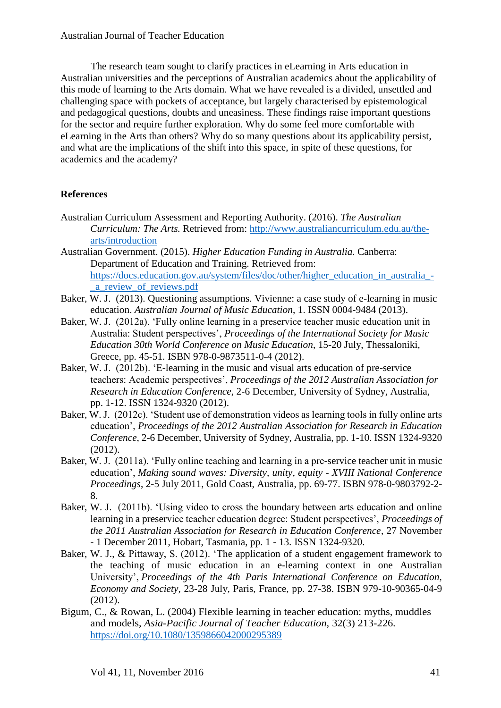The research team sought to clarify practices in eLearning in Arts education in Australian universities and the perceptions of Australian academics about the applicability of this mode of learning to the Arts domain. What we have revealed is a divided, unsettled and challenging space with pockets of acceptance, but largely characterised by epistemological and pedagogical questions, doubts and uneasiness. These findings raise important questions for the sector and require further exploration. Why do some feel more comfortable with eLearning in the Arts than others? Why do so many questions about its applicability persist, and what are the implications of the shift into this space, in spite of these questions, for academics and the academy?

# **References**

- Australian Curriculum Assessment and Reporting Authority. (2016). *The Australian Curriculum: The Arts.* Retrieved from: [http://www.australiancurriculum.edu.au/the](http://www.australiancurriculum.edu.au/the-arts/introduction)[arts/introduction](http://www.australiancurriculum.edu.au/the-arts/introduction)
- Australian Government. (2015). *Higher Education Funding in Australia.* Canberra: Department of Education and Training. Retrieved from: [https://docs.education.gov.au/system/files/doc/other/higher\\_education\\_in\\_australia\\_-](https://docs.education.gov.au/system/files/doc/other/higher_education_in_australia_-_a_review_of_reviews.pdf) [\\_a\\_review\\_of\\_reviews.pdf](https://docs.education.gov.au/system/files/doc/other/higher_education_in_australia_-_a_review_of_reviews.pdf)
- Baker, W. J. (2013). Questioning assumptions. Vivienne: a case study of e-learning in music education. *Australian Journal of Music Education*, 1. ISSN 0004-9484 (2013).
- Baker, W. J. (2012a). 'Fully online learning in a preservice teacher music education unit in Australia: Student perspectives', *Proceedings of the International Society for Music Education 30th World Conference on Music Education*, 15-20 July, Thessaloniki, Greece, pp. 45-51. ISBN 978-0-9873511-0-4 (2012).
- Baker, W. J. (2012b). 'E-learning in the music and visual arts education of pre-service teachers: Academic perspectives', *Proceedings of the 2012 Australian Association for Research in Education Conference*, 2-6 December, University of Sydney, Australia, pp. 1-12. ISSN 1324-9320 (2012).
- Baker, W. J. (2012c). 'Student use of demonstration videos as learning tools in fully online arts education', *Proceedings of the 2012 Australian Association for Research in Education Conference*, 2-6 December, University of Sydney, Australia, pp. 1-10. ISSN 1324-9320 (2012).
- Baker, W. J. (2011a). 'Fully online teaching and learning in a pre-service teacher unit in music education', *Making sound waves: Diversity, unity, equity - XVIII National Conference Proceedings*, 2-5 July 2011, Gold Coast, Australia, pp. 69-77. ISBN 978-0-9803792-2- 8.
- Baker, W. J. (2011b). 'Using video to cross the boundary between arts education and online learning in a preservice teacher education degree: Student perspectives', *Proceedings of the 2011 Australian Association for Research in Education Conference*, 27 November - 1 December 2011, Hobart, Tasmania, pp. 1 - 13. ISSN 1324-9320.
- Baker, W. J., & Pittaway, S. (2012). 'The application of a student engagement framework to the teaching of music education in an e-learning context in one Australian University', *Proceedings of the 4th Paris International Conference on Education, Economy and Society*, 23-28 July, Paris, France, pp. 27-38. ISBN 979-10-90365-04-9 (2012).
- Bigum, C., & Rowan, L. (2004) Flexible learning in teacher education: myths, muddles and models, *Asia-Pacific Journal of Teacher Education,* 32(3) 213-226. <https://doi.org/10.1080/1359866042000295389>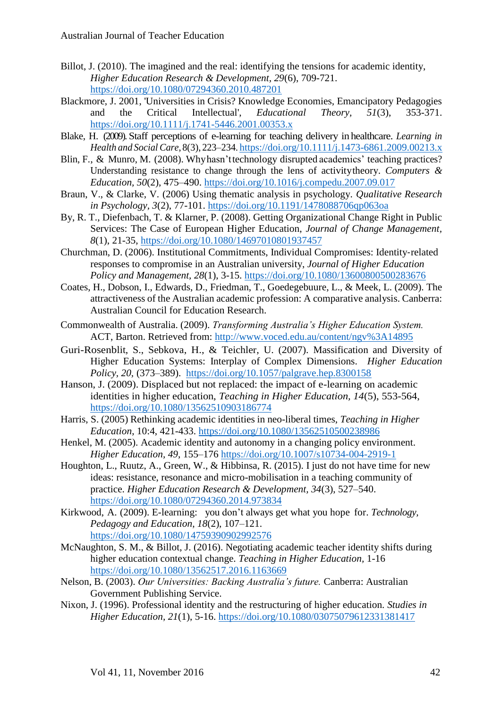- Billot, J. (2010). The imagined and the real: identifying the tensions for academic identity, *Higher Education Research & Development, 29*(6), 709-721. <https://doi.org/10.1080/07294360.2010.487201>
- Blackmore, J. 2001, 'Universities in Crisis? Knowledge Economies, Emancipatory Pedagogies and the Critical Intellectual', *Educational Theory, 51*(3), 353-371. <https://doi.org/10.1111/j.1741-5446.2001.00353.x>
- Blake, H. (2009). Staff perceptions of e-learning for teaching delivery in healthcare. *Learning in Health and Social Care*, 8(3), 223–234.<https://doi.org/10.1111/j.1473-6861.2009.00213.x>
- Blin, F., & Munro, M. (2008). Why hasn'ttechnology disrupted academics' teaching practices? Understanding resistance to change through the lens of activitytheory. *Computers & Education, 50*(2), 475–490. <https://doi.org/10.1016/j.compedu.2007.09.017>
- Braun, V., & Clarke, V. (2006) Using thematic analysis in psychology. *Qualitative Research in Psychology, 3*(2), 77-101. <https://doi.org/10.1191/1478088706qp063oa>
- By, R. T., Diefenbach, T. & Klarner, P. (2008). Getting Organizational Change Right in Public Services: The Case of European Higher Education, *Journal of Change Management, 8*(1), 21-35,<https://doi.org/10.1080/14697010801937457>
- Churchman, D. (2006). Institutional Commitments, Individual Compromises: Identity‐related responses to compromise in an Australian university, *Journal of Higher Education Policy and Management, 28*(1), 3-15. <https://doi.org/10.1080/13600800500283676>
- Coates, H., Dobson, I., Edwards, D., Friedman, T., Goedegebuure, L., & Meek, L. (2009). The attractiveness of the Australian academic profession: A comparative analysis. Canberra: Australian Council for Education Research.
- Commonwealth of Australia. (2009). *Transforming Australia's Higher Education System.* ACT, Barton. Retrieved from:<http://www.voced.edu.au/content/ngv%3A14895>
- Guri-Rosenblit, S., Sebkova, H., & Teichler, U. (2007). Massification and Diversity of Higher Education Systems: Interplay of Complex Dimensions. *Higher Education Policy, 20,* (373–389). <https://doi.org/10.1057/palgrave.hep.8300158>
- Hanson, J. (2009). Displaced but not replaced: the impact of e-learning on academic identities in higher education, *Teaching in Higher Education, 14*(5), 553-564, <https://doi.org/10.1080/13562510903186774>
- Harris, S. (2005) Rethinking academic identities in neo-liberal times, *Teaching in Higher Education*, 10:4, 421-433. <https://doi.org/10.1080/13562510500238986>
- Henkel, M. (2005). Academic identity and autonomy in a changing policy environment. *Higher Education, 49*, 155–176 <https://doi.org/10.1007/s10734-004-2919-1>
- Houghton, L., Ruutz, A., Green, W., & Hibbinsa, R. (2015). I just do not have time for new ideas: resistance, resonance and micro-mobilisation in a teaching community of practice. *Higher Education Research & Development, 34*(3), 527–540. <https://doi.org/10.1080/07294360.2014.973834>
- Kirkwood, A. (2009). E-learning: you don't always get what you hope for. *Technology, Pedagogy and Education, 18*(2), 107–121. <https://doi.org/10.1080/14759390902992576>
- McNaughton, S. M., & Billot, J. (2016). Negotiating academic teacher identity shifts during higher education contextual change. *Teaching in Higher Education,* 1-16 <https://doi.org/10.1080/13562517.2016.1163669>
- Nelson, B. (2003). *Our Universities: Backing Australia's future.* Canberra: Australian Government Publishing Service.
- Nixon, J. (1996). Professional identity and the restructuring of higher education. *Studies in Higher Education, 21*(1), 5-16. <https://doi.org/10.1080/03075079612331381417>